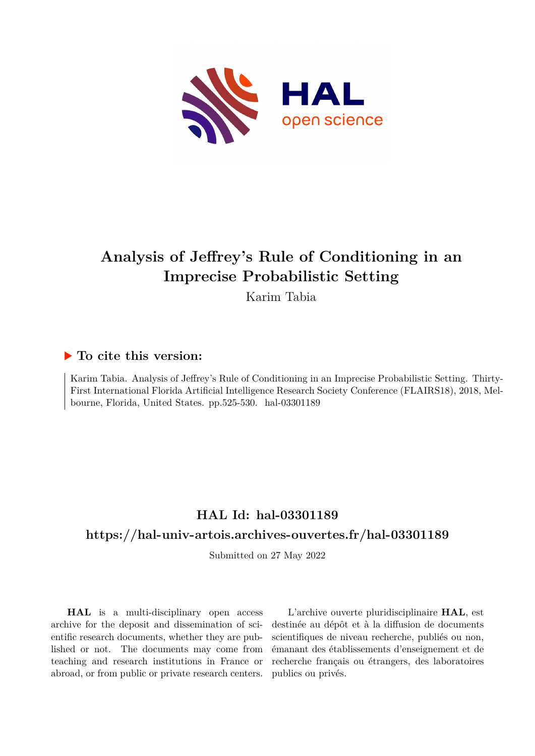

# **Analysis of Jeffrey's Rule of Conditioning in an Imprecise Probabilistic Setting**

Karim Tabia

## **To cite this version:**

Karim Tabia. Analysis of Jeffrey's Rule of Conditioning in an Imprecise Probabilistic Setting. Thirty-First International Florida Artificial Intelligence Research Society Conference (FLAIRS18), 2018, Melbourne, Florida, United States. pp.525-530. hal-03301189

## **HAL Id: hal-03301189**

## **<https://hal-univ-artois.archives-ouvertes.fr/hal-03301189>**

Submitted on 27 May 2022

**HAL** is a multi-disciplinary open access archive for the deposit and dissemination of scientific research documents, whether they are published or not. The documents may come from teaching and research institutions in France or abroad, or from public or private research centers.

L'archive ouverte pluridisciplinaire **HAL**, est destinée au dépôt et à la diffusion de documents scientifiques de niveau recherche, publiés ou non, émanant des établissements d'enseignement et de recherche français ou étrangers, des laboratoires publics ou privés.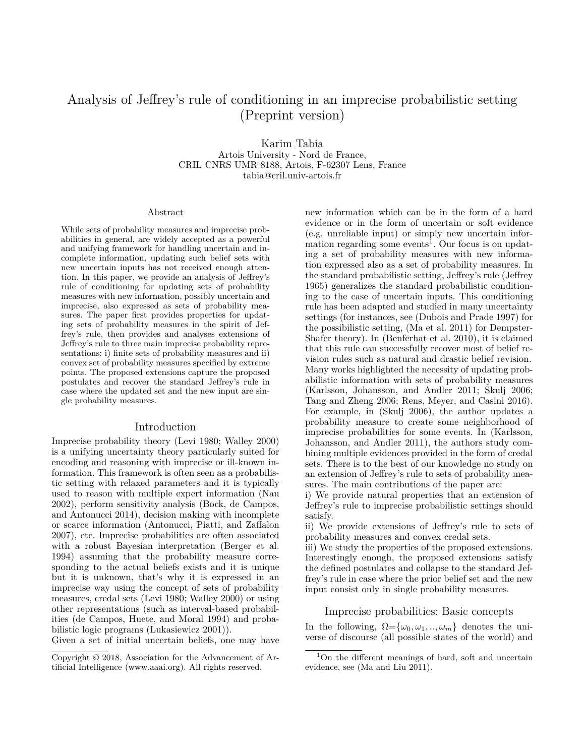## Analysis of Jeffrey's rule of conditioning in an imprecise probabilistic setting (Preprint version)

Karim Tabia Artois University - Nord de France, CRIL CNRS UMR 8188, Artois, F-62307 Lens, France tabia@cril.univ-artois.fr

#### Abstract

While sets of probability measures and imprecise probabilities in general, are widely accepted as a powerful and unifying framework for handling uncertain and incomplete information, updating such belief sets with new uncertain inputs has not received enough attention. In this paper, we provide an analysis of Jeffrey's rule of conditioning for updating sets of probability measures with new information, possibly uncertain and imprecise, also expressed as sets of probability measures. The paper first provides properties for updating sets of probability measures in the spirit of Jeffrey's rule, then provides and analyses extensions of Jeffrey's rule to three main imprecise probability representations: i) finite sets of probability measures and ii) convex set of probability measures specified by extreme points. The proposed extensions capture the proposed postulates and recover the standard Jeffrey's rule in case where the updated set and the new input are single probability measures.

#### Introduction

Imprecise probability theory (Levi 1980; Walley 2000) is a unifying uncertainty theory particularly suited for encoding and reasoning with imprecise or ill-known information. This framework is often seen as a probabilistic setting with relaxed parameters and it is typically used to reason with multiple expert information (Nau 2002), perform sensitivity analysis (Bock, de Campos, and Antonucci 2014), decision making with incomplete or scarce information (Antonucci, Piatti, and Zaffalon 2007), etc. Imprecise probabilities are often associated with a robust Bayesian interpretation (Berger et al. 1994) assuming that the probability measure corresponding to the actual beliefs exists and it is unique but it is unknown, that's why it is expressed in an imprecise way using the concept of sets of probability measures, credal sets (Levi 1980; Walley 2000) or using other representations (such as interval-based probabilities (de Campos, Huete, and Moral 1994) and probabilistic logic programs (Lukasiewicz 2001)).

Given a set of initial uncertain beliefs, one may have

new information which can be in the form of a hard evidence or in the form of uncertain or soft evidence (e.g. unreliable input) or simply new uncertain infor $m$ ation regarding some events<sup>1</sup>. Our focus is on updating a set of probability measures with new information expressed also as a set of probability measures. In the standard probabilistic setting, Jeffrey's rule (Jeffrey 1965) generalizes the standard probabilistic conditioning to the case of uncertain inputs. This conditioning rule has been adapted and studied in many uncertainty settings (for instances, see (Dubois and Prade 1997) for the possibilistic setting, (Ma et al. 2011) for Dempster-Shafer theory). In (Benferhat et al. 2010), it is claimed that this rule can successfully recover most of belief revision rules such as natural and drastic belief revision. Many works highlighted the necessity of updating probabilistic information with sets of probability measures (Karlsson, Johansson, and Andler 2011; Skulj 2006; Tang and Zheng 2006; Rens, Meyer, and Casini 2016). For example, in (Skulj 2006), the author updates a probability measure to create some neighborhood of imprecise probabilities for some events. In (Karlsson, Johansson, and Andler 2011), the authors study combining multiple evidences provided in the form of credal sets. There is to the best of our knowledge no study on an extension of Jeffrey's rule to sets of probability measures. The main contributions of the paper are:

i) We provide natural properties that an extension of Jeffrey's rule to imprecise probabilistic settings should satisfy.

ii) We provide extensions of Jeffrey's rule to sets of probability measures and convex credal sets.

iii) We study the properties of the proposed extensions. Interestingly enough, the proposed extensions satisfy the defined postulates and collapse to the standard Jeffrey's rule in case where the prior belief set and the new input consist only in single probability measures.

#### Imprecise probabilities: Basic concepts

In the following,  $\Omega = {\omega_0, \omega_1, ..., \omega_m}$  denotes the universe of discourse (all possible states of the world) and

Copyright © 2018, Association for the Advancement of Artificial Intelligence (www.aaai.org). All rights reserved.

<sup>&</sup>lt;sup>1</sup>On the different meanings of hard, soft and uncertain evidence, see (Ma and Liu 2011).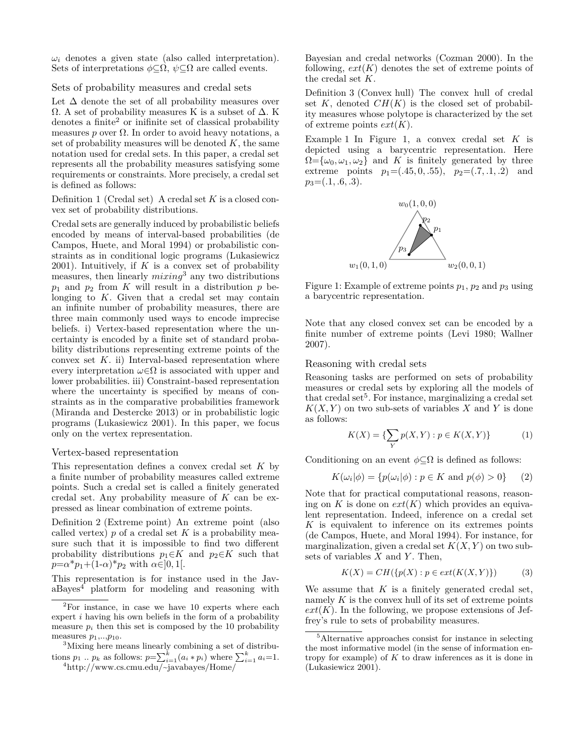$\omega_i$  denotes a given state (also called interpretation). Sets of interpretations  $\phi \subset \Omega$ ,  $\psi \subset \Omega$  are called events.

#### Sets of probability measures and credal sets

Let  $\Delta$  denote the set of all probability measures over  $\Omega$ . A set of probability measures K is a subset of  $\Delta$ . K denotes a finite<sup>2</sup> or inifinite set of classical probability measures  $p$  over  $\Omega$ . In order to avoid heavy notations, a set of probability measures will be denoted *K*, the same notation used for credal sets. In this paper, a credal set represents all the probability measures satisfying some requirements or constraints. More precisely, a credal set is defined as follows:

Definition 1 (Credal set) A credal set *K* is a closed convex set of probability distributions.

Credal sets are generally induced by probabilistic beliefs encoded by means of interval-based probabilities (de Campos, Huete, and Moral 1994) or probabilistic constraints as in conditional logic programs (Lukasiewicz 2001). Intuitively, if  $K$  is a convex set of probability measures, then linearly *mixing*<sup>3</sup> any two distributions  $p_1$  and  $p_2$  from *K* will result in a distribution  $p$  belonging to *K*. Given that a credal set may contain an infinite number of probability measures, there are three main commonly used ways to encode imprecise beliefs. i) Vertex-based representation where the uncertainty is encoded by a finite set of standard probability distributions representing extreme points of the convex set *K*. ii) Interval-based representation where every interpretation  $\omega \in \Omega$  is associated with upper and lower probabilities. iii) Constraint-based representation where the uncertainty is specified by means of constraints as in the comparative probabilities framework (Miranda and Destercke 2013) or in probabilistic logic programs (Lukasiewicz 2001). In this paper, we focus only on the vertex representation.

#### Vertex-based representation

This representation defines a convex credal set *K* by a finite number of probability measures called extreme points. Such a credal set is called a finitely generated credal set. Any probability measure of *K* can be expressed as linear combination of extreme points.

Definition 2 (Extreme point) An extreme point (also called vertex) *p* of a credal set *K* is a probability measure such that it is impossible to find two different probability distributions  $p_1 \in K$  and  $p_2 \in K$  such that  $p = \alpha^* p_1 + (1-\alpha)^* p_2$  with  $\alpha \in ]0,1[$ .

This representation is for instance used in the JavaBayes<sup>4</sup> platform for modeling and reasoning with

<sup>3</sup>Mixing here means linearly combining a set of distributions  $p_1 \, ... \, p_k$  as follows:  $p = \sum_{i=1}^k (a_i * p_i)$  where  $\sum_{i=1}^k a_i = 1$ .

Bayesian and credal networks (Cozman 2000). In the following,  $ext(K)$  denotes the set of extreme points of the credal set *K*.

Definition 3 (Convex hull) The convex hull of credal set  $K$ , denoted  $CH(K)$  is the closed set of probability measures whose polytope is characterized by the set of extreme points *ext*(*K*).

Example 1 In Figure 1, a convex credal set *K* is depicted using a barycentric representation. Here  $\Omega = {\omega_0, \omega_1, \omega_2}$  and *K* is finitely generated by three extreme points  $p_1=(.45, 0, .55), p_2=(.7, .1, .2)$  and  $p_3=(.1, .6, .3).$ 



Figure 1: Example of extreme points  $p_1$ ,  $p_2$  and  $p_3$  using a barycentric representation.

Note that any closed convex set can be encoded by a finite number of extreme points (Levi 1980; Wallner 2007).

#### Reasoning with credal sets

Reasoning tasks are performed on sets of probability measures or credal sets by exploring all the models of that credal set<sup>5</sup>. For instance, marginalizing a credal set  $K(X, Y)$  on two sub-sets of variables X and Y is done as follows:

$$
K(X) = \{ \sum_{Y} p(X, Y) : p \in K(X, Y) \}
$$
 (1)

Conditioning on an event  $\phi \subseteq \Omega$  is defined as follows:

$$
K(\omega_i|\phi) = \{p(\omega_i|\phi) : p \in K \text{ and } p(\phi) > 0\} \qquad (2)
$$

Note that for practical computational reasons, reasoning on  $K$  is done on  $ext(K)$  which provides an equivalent representation. Indeed, inference on a credal set *K* is equivalent to inference on its extremes points (de Campos, Huete, and Moral 1994). For instance, for marginalization, given a credal set  $K(X, Y)$  on two subsets of variables *X* and *Y* . Then,

$$
K(X) = CH(\{p(X) : p \in ext(K(X, Y))\})
$$
 (3)

We assume that  $K$  is a finitely generated credal set, namely *K* is the convex hull of its set of extreme points  $ext(K)$ . In the following, we propose extensions of Jeffrey's rule to sets of probability measures.

 $2$ For instance, in case we have 10 experts where each expert *i* having his own beliefs in the form of a probability measure  $p_i$  then this set is composed by the 10 probability measures  $p_1, \ldots, p_{10}$ .

<sup>4</sup>http://www.cs.cmu.edu/~javabayes/Home/

<sup>5</sup>Alternative approaches consist for instance in selecting the most informative model (in the sense of information entropy for example) of *K* to draw inferences as it is done in (Lukasiewicz 2001).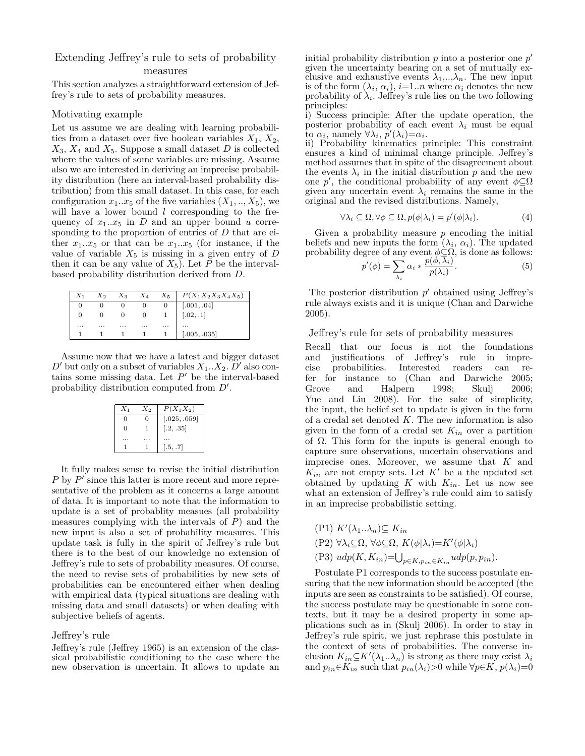## Extending Jeffrey's rule to sets of probability

#### measures

This section analyzes a straightforward extension of Jeffrey's rule to sets of probability measures.

#### Motivating example

Let us assume we are dealing with learning probabilities from a dataset over five boolean variables  $X_1, X_2,$  $X_3$ ,  $X_4$  and  $X_5$ . Suppose a small dataset *D* is collected where the values of some variables are missing. Assume also we are interested in deriving an imprecise probability distribution (here an interval-based probability distribution) from this small dataset. In this case, for each configuration  $x_1...x_5$  of the five variables  $(X_1, ..., X_5)$ , we will have a lower bound *l* corresponding to the frequency of  $x_1 \nvert x_5$  in *D* and an upper bound *u* corresponding to the proportion of entries of *D* that are either  $x_1...x_5$  or that can be  $x_1...x_5$  (for instance, if the value of variable  $X_5$  is missing in a given entry of  $D$ then it can be any value of  $X_5$ ). Let P be the intervalbased probability distribution derived from *D*.

|          |   |   |   | $X_2$ $X_3$ $X_4$ $X_5$ $P(X_1X_2X_3X_4X_5)$ |
|----------|---|---|---|----------------------------------------------|
|          |   |   |   |                                              |
|          |   |   |   | $[.001, .04]$<br>$[.02, .1]$                 |
| $\cdots$ | . | . | . | <br>$\cdots$                                 |
|          |   |   |   | [.005, .035]                                 |

Assume now that we have a latest and bigger dataset  $D'$  but only on a subset of variables  $X_1...X_2$ .  $D'$  also contains some missing data. Let *P ′* be the interval-based probability distribution computed from *D′* .

| $X_1$ | $X_2$ | $P(X_1X_2)$  |
|-------|-------|--------------|
| O     | 0     | [.025, .059] |
| O     |       | [.2, .35]    |
|       |       |              |
|       |       | 1.5, .7      |

It fully makes sense to revise the initial distribution *P* by *P*<sup> $\prime$ </sup> since this latter is more recent and more representative of the problem as it concerns a large amount of data. It is important to note that the information to update is a set of probablity measues (all probability measures complying with the intervals of *P*) and the new input is also a set of probability measures. This update task is fully in the spirit of Jeffrey's rule but there is to the best of our knowledge no extension of Jeffrey's rule to sets of probability measures. Of course, the need to revise sets of probabilities by new sets of probabilities can be encountered either when dealing with empirical data (typical situations are dealing with missing data and small datasets) or when dealing with subjective beliefs of agents.

#### Jeffrey's rule

Jeffrey's rule (Jeffrey 1965) is an extension of the classical probabilistic conditioning to the case where the new observation is uncertain. It allows to update an

initial probability distribution *p* into a posterior one *p ′* given the uncertainty bearing on a set of mutually exclusive and exhaustive events  $\lambda_1, \ldots, \lambda_n$ . The new input is of the form  $(\lambda_i, \alpha_i)$ ,  $i=1..n$  where  $\alpha_i$  denotes the new probability of  $\lambda_i$ . Jeffrey's rule lies on the two following principles:

i) Success principle: After the update operation, the posterior probability of each event  $\lambda_i$  must be equal  $\overline{\text{to}} \alpha_i$ , namely  $\forall \lambda_i$ ,  $p'(\lambda_i) = \alpha_i$ .

ii) Probability kinematics principle: This constraint ensures a kind of minimal change principle. Jeffrey's method assumes that in spite of the disagreement about the events  $\lambda_i$  in the initial distribution  $p$  and the new one *p*<sup>'</sup>, the conditional probability of any event  $\phi \subseteq \Omega$ given any uncertain event  $\lambda_i$  remains the same in the original and the revised distributions. Namely,

$$
\forall \lambda_i \subseteq \Omega, \forall \phi \subseteq \Omega, p(\phi|\lambda_i) = p'(\phi|\lambda_i). \tag{4}
$$

Given a probability measure *p* encoding the initial beliefs and new inputs the form  $(\lambda_i, \alpha_i)$ . The updated probability degree of any event  $\phi \subseteq \Omega$ , is done as follows:

$$
p'(\phi) = \sum_{\lambda_i} \alpha_i * \frac{p(\phi, \overline{\lambda}_i)}{p(\lambda_i)}.
$$
 (5)

The posterior distribution *p ′* obtained using Jeffrey's rule always exists and it is unique (Chan and Darwiche 2005).

#### Jeffrey's rule for sets of probability measures

Recall that our focus is not the foundations and justifications of Jeffrey's rule in imprecise probabilities. Interested readers can refer for instance to (Chan and Darwiche 2005; Grove and Halpern 1998; Skulj 2006; Yue and Liu 2008). For the sake of simplicity, the input, the belief set to update is given in the form of a credal set denoted *K*. The new information is also given in the form of a credal set  $K_{in}$  over a partition of Ω. This form for the inputs is general enough to capture sure observations, uncertain observations and imprecise ones. Moreover, we assume that *K* and  $K_{in}$  are not empty sets. Let  $K'$  be a the updated set obtained by updating  $K$  with  $K_{in}$ . Let us now see what an extension of Jeffrey's rule could aim to satisfy in an imprecise probabilistic setting.

(P1) *K′* (*λ*1*..λn*)*⊆ Kin*  $(Y^2)$   $\forall \lambda_i \subseteq \Omega, \forall \phi \subseteq \Omega, K(\phi|\lambda_i) = K'(\phi|\lambda_i)$ (P3)  $\text{ud}p(K, K_{in}) = \bigcup_{p \in K, p_{in} \in K_{in}} \text{ud}p(p, p_{in}).$ 

Postulate P1 corresponds to the success postulate ensuring that the new information should be accepted (the inputs are seen as constraints to be satisfied). Of course, the success postulate may be questionable in some contexts, but it may be a desired property in some applications such as in (Skulj 2006). In order to stay in Jeffrey's rule spirit, we just rephrase this postulate in the context of sets of probabilities. The converse inclusion  $K_{in} \subseteq K'(\lambda_1 \dots \lambda_n)$  is strong as there may exist  $\lambda_i$ and  $p_{in} \in K_{in}$  such that  $p_{in}(\lambda_i) > 0$  while  $\forall p \in K, p(\lambda_i) = 0$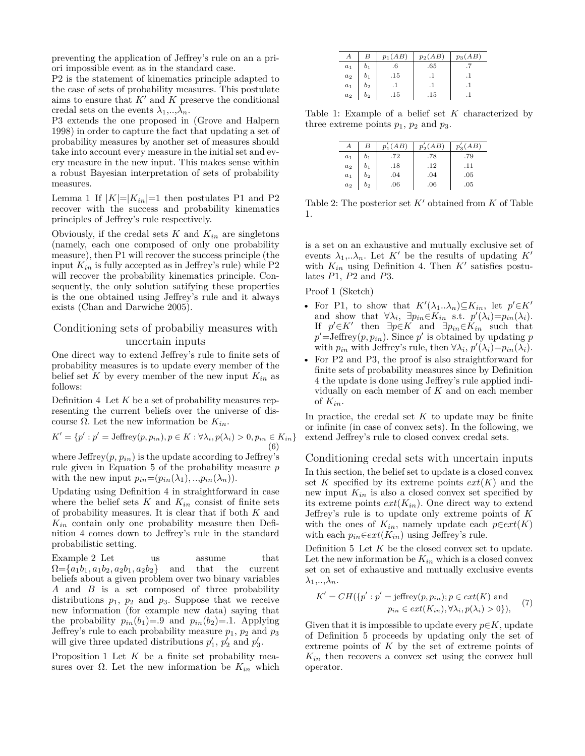preventing the application of Jeffrey's rule on an a priori impossible event as in the standard case.

P2 is the statement of kinematics principle adapted to the case of sets of probability measures. This postulate aims to ensure that *K′* and *K* preserve the conditional credal sets on the events  $\lambda_1, \ldots, \lambda_n$ .

P3 extends the one proposed in (Grove and Halpern 1998) in order to capture the fact that updating a set of probability measures by another set of measures should take into account every measure in the initial set and every measure in the new input. This makes sense within a robust Bayesian interpretation of sets of probability measures.

Lemma 1 If  $|K|=|K_{in}|=1$  then postulates P1 and P2 recover with the success and probability kinematics principles of Jeffrey's rule respectively.

Obviously, if the credal sets  $K$  and  $K_{in}$  are singletons (namely, each one composed of only one probability measure), then P1 will recover the success principle (the input  $K_{in}$  is fully accepted as in Jeffrey's rule) while  $P2$ will recover the probability kinematics principle. Consequently, the only solution satifying these properties is the one obtained using Jeffrey's rule and it always exists (Chan and Darwiche 2005).

### Conditioning sets of probabiliy measures with uncertain inputs

One direct way to extend Jeffrey's rule to finite sets of probability measures is to update every member of the belief set  $K$  by every member of the new input  $K_{in}$  as follows:

Definition 4 Let *K* be a set of probability measures representing the current beliefs over the universe of discourse Ω. Let the new information be *Kin*.

$$
K' = \{p' : p' = \text{Jeffrey}(p, p_{in}), p \in K : \forall \lambda_i, p(\lambda_i) > 0, p_{in} \in K_{in}\}\
$$
\n
$$
(6)
$$

where  $\text{Jeffrey}(p, p_{in})$  is the update according to  $\text{Jeffrey's}$ rule given in Equation 5 of the probability measure *p* with the new input  $p_{in}=(p_{in}(\lambda_1),...,p_{in}(\lambda_n)).$ 

Updating using Definition 4 in straightforward in case where the belief sets  $K$  and  $K_{in}$  consist of finite sets of probability measures. It is clear that if both *K* and *Kin* contain only one probability measure then Definition 4 comes down to Jeffrey's rule in the standard probabilistic setting.

Example 2 Let us assume that  $\Omega = \{a_1b_1, a_1b_2, a_2b_1, a_2b_2\}$  and that the current beliefs about a given problem over two binary variables *A* and *B* is a set composed of three probability distributions  $p_1$ ,  $p_2$  and  $p_3$ . Suppose that we receive new information (for example new data) saying that the probability  $p_{in}(b_1)=0$  and  $p_{in}(b_2)=1$ . Applying Jeffrey's rule to each probability measure  $p_1$ ,  $p_2$  and  $p_3$ will give three updated distributions  $p'_1$ ,  $p'_2$  and  $p'_3$ .

Proposition 1 Let *K* be a finite set probability measures over  $\Omega$ . Let the new information be  $K_{in}$  which

|       | В              | $p_1(AB)$ | $p_2(AB)$ | $p_3(AB)$ |
|-------|----------------|-----------|-----------|-----------|
| $a_1$ | $^{\rm o_1}$   | .6        | .65       |           |
| $a_2$ |                | .15       |           |           |
| $a_1$ | $b_2$          |           |           |           |
| $a_2$ | b <sub>2</sub> | .15       | .15       |           |

Table 1: Example of a belief set *K* characterized by three extreme points  $p_1$ ,  $p_2$  and  $p_3$ .

|       | B              | AB) | $p'_{\alpha}$<br>AB) | AB) |
|-------|----------------|-----|----------------------|-----|
| $a_1$ | b <sub>1</sub> | .72 | .78                  | .79 |
| $a_2$ | b <sub>1</sub> | .18 | .12                  | .11 |
| $a_1$ | b <sub>2</sub> | .04 | .04                  | .05 |
| $a_2$ | $b_2$          | .06 | .06                  | .05 |

Table 2: The posterior set *K′* obtained from *K* of Table 1.

is a set on an exhaustive and mutually exclusive set of events  $\lambda_1, \ldots, \lambda_n$ . Let K<sup>*'*</sup> be the results of updating K<sup>*'*</sup> with  $K_{in}$  using Definition 4. Then  $K'$  satisfies postulates *P*1, *P*2 and *P*3.

Proof 1 (Sketch)

- For P1, to show that  $K'(\lambda_1 \ldots \lambda_n) \subseteq K_{in}$ , let  $p' \in K'$ and show that  $\forall \lambda_i$ ,  $\exists p_{in} \in K_{in}$  s.t.  $p'(\lambda_i)=p_{in}(\lambda_i)$ . If  $p' \in K'$  then  $\exists p \in K$  and  $\exists p_{in} \in K_{in}$  such that  $p'$ =Jeffrey $(p, p_{in})$ . Since  $p'$  is obtained by updating  $p$ with *p*<sub>in</sub> with Jeffrey's rule, then  $\forall \lambda_i, p'(\lambda_i) = p_{in}(\lambda_i)$ .
- For P2 and P3, the proof is also straightforward for finite sets of probability measures since by Definition 4 the update is done using Jeffrey's rule applied individually on each member of *K* and on each member of  $K_{in}$ .

In practice, the credal set  $K$  to update may be finite or infinite (in case of convex sets). In the following, we extend Jeffrey's rule to closed convex credal sets.

Conditioning credal sets with uncertain inputs

In this section, the belief set to update is a closed convex set  $K$  specified by its extreme points  $ext(K)$  and the new input *Kin* is also a closed convex set specified by its extreme points  $ext(K_{in})$ . One direct way to extend Jeffrey's rule is to update only extreme points of *K* with the ones of  $K_{in}$ , namely update each  $p \in ext(K)$ with each  $p_{in} \in ext(K_{in})$  using Jeffrey's rule.

Definition 5 Let *K* be the closed convex set to update. Let the new information be  $K_{in}$  which is a closed convex set on set of exhaustive and mutually exclusive events  $\lambda_1, \ldots, \lambda_n$ .

$$
K' = CH({p' : p' = j \text{effrey}(p, p_{in}); p \in ext(K) \text{ and } p_{in} \in ext(K_{in}), \forall \lambda_i, p(\lambda_i) > 0}),
$$
 (7)

Given that it is impossible to update every  $p \in K$ , update of Definition 5 proceeds by updating only the set of extreme points of *K* by the set of extreme points of *Kin* then recovers a convex set using the convex hull operator.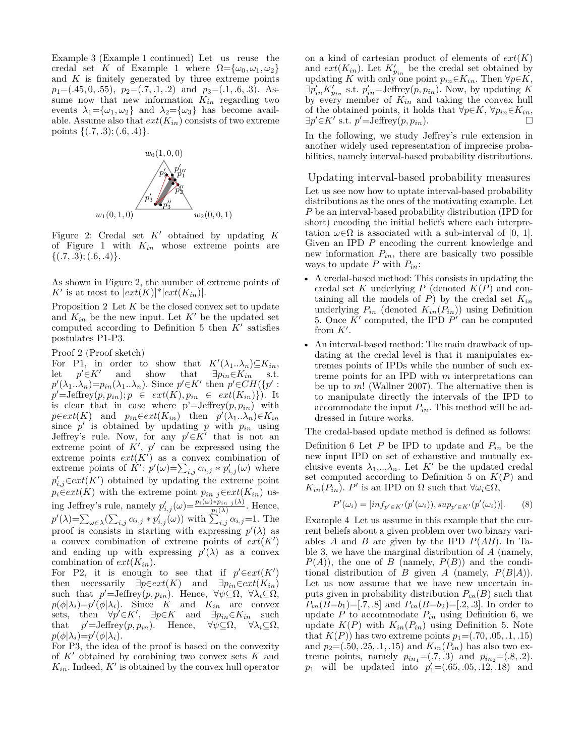Example 3 (Example 1 continued) Let us reuse the credal set *K* of Example 1 where  $\Omega = {\omega_0, \omega_1, \omega_2}$ and *K* is finitely generated by three extreme points *p*1=(*.*45*,* 0*, .*55), *p*2=(*.*7*, .*1*, .*2) and *p*3=(*.*1*, .*6*, .*3). Assume now that new information  $K_{in}$  regarding two events  $\lambda_1 = {\omega_1, \omega_2}$  and  $\lambda_2 = {\omega_3}$  has become available. Assume also that  $ext(K_{in})$  consists of two extreme points *{*(*.*7*, .*3); (*.*6*, .*4)*}*.



Figure 2: Credal set *K′* obtained by updating *K* of Figure 1 with *Kin* whose extreme points are *{*(*.*7*, .*3); (*.*6*, .*4)*}*.

As shown in Figure 2, the number of extreme points of  $K'$  is at most to  $|ext(K)|^*|ext(K_{in})|$ .

Proposition 2 Let *K* be the closed convex set to update and  $K_{in}$  be the new input. Let  $K'$  be the updated set computed according to Definition 5 then *K′* satisfies postulates P1-P3.

Proof 2 (Proof sketch)

For P1, in order to show that  $K'(\lambda_1 \ldots \lambda_n) \subseteq K_{in}$ , let  $p' \in K'$ and show that  $\exists p_{in} \in K_{in}$  s.t.  $p'(\lambda_1 \ldots \lambda_n) = p_{in}(\lambda_1 \ldots \lambda_n)$ . Since  $p' \in K'$  then  $p' \in CH({p' : p''})$  $p' = \text{Jeffrey}(p, p_{in}); p \in ext(K), p_{in} \in ext(K_{in})\}).$  It is clear that in case where  $p' = Jeffrey(p, p_{in})$  with *p*∈*ext*(*K*) and  $p_{in} \in ext(K_{in})$  then  $p'(\lambda_1 \ldots \lambda_n) \in K_{in}$ since  $p'$  is obtained by updating  $p$  with  $p_{in}$  using Jeffrey's rule. Now, for any  $p' \in K'$  that is not an extreme point of  $K'$ ,  $p'$  can be expressed using the extreme points  $ext(K')$  as a convex combination of extreme points of  $\hat{K}'$ :  $p'(\omega) = \sum_{i,j} \alpha_{i,j} * p'_{i,j}(\omega)$  where *p*<sup>'</sup><sub>*i,j*</sub>∈ $ext(K')$  obtained by updating the extreme point  $p_i \in ext(K)$  with the extreme point  $p_{in}$  *j* $\in ext(K_{in})$  using Jeffrey's rule, namely  $p'_{i,j}(\omega) = \frac{p_i(\omega) * p_{in,j}(\lambda)}{p_i(\lambda)}$ . Hence,  $p'(\lambda) = \sum_{\omega \in \lambda} (\sum_{i,j} \alpha_{i,j} * p'_{i,j}(\omega))$  with  $\sum_{i,j} \alpha_{i,j} = 1$ . The proof is consists in starting with expressing  $p'(\lambda)$  as a convex combination of extreme points of  $ext(K')$ and ending up with expressing  $p'(\lambda)$  as a convex combination of  $ext(K_{in})$ .

For P2, it is enough to see that if  $p' \in ext(K')$ then necessarily  $\exists p \in ext(K)$  and  $\exists p_{in} \in ext(K_{in})$ such that  $p' = \text{Jeffrey}(p, p_{in})$ . Hence,  $\forall \psi \subseteq \Omega$ ,  $\forall \lambda_i \subseteq \Omega$ ,  $p(\phi|\lambda_i)=p'(\phi|\lambda_i)$ . Since *K* and  $K_{in}$  are convex sets, then  $\forall p' \in K'$ ,  $\exists p \in K$  and  $\exists p_{in} \in K_{in}$  such that *p*  $p' = \text{Jeffrey}(p, p_{in})$ . Hence,  $\forall \psi \subseteq \Omega$ ,  $\forall \lambda_i \subseteq \Omega$ ,  $p(\phi|\lambda_i)=p'(\phi|\lambda_i).$ 

For P3, the idea of the proof is based on the convexity of *K′* obtained by combining two convex sets *K* and  $K_{in}$ . Indeed,  $K'$  is obtained by the convex hull operator

on a kind of cartesian product of elements of  $ext(K)$ and  $ext(K_{in})$ . Let  $K'_{p_{in}}$  be the credal set obtained by updating *K* with only one point  $p_{in} \in K_{in}$ . Then  $\forall p \in K$ ,  $\exists p'_{in} K'_{p_{in}}$  s.t.  $p'_{in} = \text{Jeffrey}(p, p_{in})$ . Now, by updating *K* by every member of  $K_{in}$  and taking the convex hull of the obtained points, it holds that  $\forall p \in K$ ,  $\forall p_{in} \in K_{in}$ ,  $\exists p' \in K'$  s.t.  $p' = \text{Jeffrey}(p, p_{in}).$  □

In the following, we study Jeffrey's rule extension in another widely used representation of imprecise probabilities, namely interval-based probability distributions.

Updating interval-based probability measures Let us see now how to uptate interval-based probability distributions as the ones of the motivating example. Let *P* be an interval-based probability distribution (IPD for short) encoding the initial beliefs where each interpretation  $\omega \in \Omega$  is associated with a sub-interval of [0, 1]. Given an IPD *P* encoding the current knowledge and new information *Pin*, there are basically two possible ways to update  $P$  with  $P_{in}$ :

- A credal-based method: This consists in updating the credal set  $K$  underlying  $P$  (denoted  $K(P)$  and containing all the models of  $P$ ) by the credal set  $K_{in}$ underlying  $P_{in}$  (denoted  $K_{in}(P_{in})$ ) using Definition 5. Once *K′* computed, the IPD *P ′* can be computed from *K′* .
- An interval-based method: The main drawback of updating at the credal level is that it manipulates extremes points of IPDs while the number of such extreme points for an IPD with *m* interpretations can be up to *m*! (Wallner 2007). The alternative then is to manipulate directly the intervals of the IPD to accommodate the input  $P_{in}$ . This method will be addressed in future works.

The credal-based update method is defined as follows:

Definition 6 Let  $P$  be IPD to update and  $P_{in}$  be the new input IPD on set of exhaustive and mutually exclusive events  $\lambda_1, \ldots, \lambda_n$ . Let K<sup>*'*</sup> be the updated credal set computed according to Definition 5 on  $K(P)$  and  $K_{in}(P_{in})$ . *P*<sup>*'*</sup> is an IPD on  $\Omega$  such that  $\forall \omega_i \in \Omega$ ,

$$
P'(\omega_i) = [inf_{p' \in K'}(p'(\omega_i)), sup_{p' \in K'}(p'(\omega_i))].
$$
 (8)

Example 4 Let us assume in this example that the current beliefs about a given problem over two binary variables *A* and *B* are given by the IPD *P*(*AB*). In Table 3, we have the marginal distribution of *A* (namely,  $P(A)$ , the one of *B* (namely,  $P(B)$ ) and the conditional distribution of *B* given *A* (namely,  $P(B|A)$ ). Let us now assume that we have new uncertain inputs given in probability distribution  $P_{in}(B)$  such that  $P_{in}(B=1)=[.7, .8]$  and  $P_{in}(B=1)=[.2, .3]$ . In order to update  $P$  to accommodate  $P_{in}$  using Definition 6, we update  $K(P)$  with  $K_{in}(P_{in})$  using Definition 5. Note that  $K(P)$  has two extreme points  $p_1 = (.70, .05, .1, .15)$ and  $p_2 = (.50, .25, .1, .15)$  and  $K_{in}(P_{in})$  has also two extreme points, namely  $p_{in_1} = (.7, .3)$  and  $p_{in_2} = (.8, .2)$ . *p*<sup>1</sup> will be updated into  $p'_1 = (.65, .05, .12, .18)$  and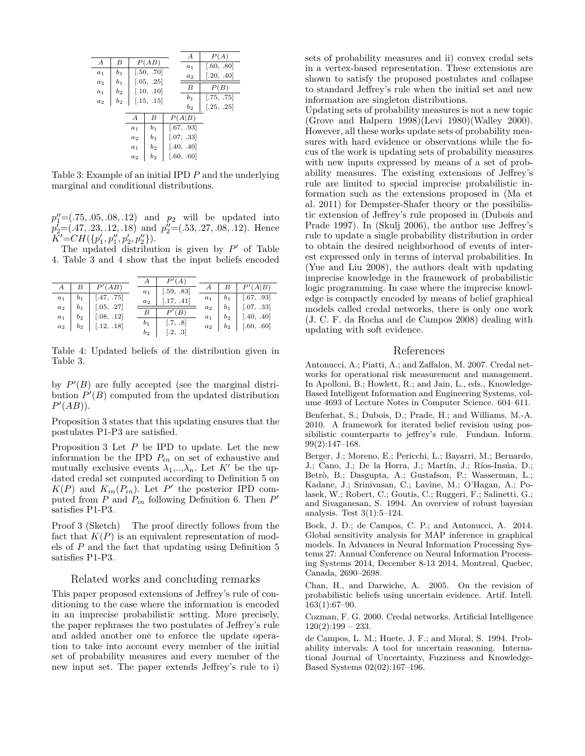|                  |                |                |                | А          | P(A)       |
|------------------|----------------|----------------|----------------|------------|------------|
| $\boldsymbol{A}$ | В              |                | P(AB)          | $a_1$      | [.60, .80] |
| $a_1$            | b <sub>1</sub> |                | [.50, .70]     | $a_2$      | [.20, .40] |
| $a_2$            | b <sub>1</sub> |                | [.05, .25]     |            |            |
| $a_1$            | b <sub>2</sub> |                | [.10, .10]     | B          | P(B)       |
|                  |                |                |                | $b_1$      | [.75, .75] |
| $a_2$            | $b_2$          |                | [.15, .15]     | $b_2$      | [.25, .25] |
|                  |                |                |                |            |            |
|                  |                | А              | В              | P(A B)     |            |
|                  |                | $a_1$          | b <sub>1</sub> | [.67, .93] |            |
|                  |                | a <sub>2</sub> | b <sub>1</sub> | [.07, .33] |            |
|                  |                | $a_1$          | b <sub>2</sub> | [.40, .40] |            |
|                  |                | $a_2$          | $b_{2}$        | [.60, .60] |            |
|                  |                |                |                |            |            |

Table 3: Example of an initial IPD *P* and the underlying marginal and conditional distributions.

*p ′′* <sup>1</sup>=(*.*75*, .*05*, .*08*, .*12) and *p*<sup>2</sup> will be updated into *p ′* <sup>2</sup>=(*.*47*, .*23*, .*12*, .*18) and *p ′′* <sup>2</sup>=(*.*53*, .*27*, .*08*, .*12). Hence  $K' = CH(\{p'_1, p''_1, p'_2, p''_2\}).$ 

The updated distribution is given by *P ′* of Table 4. Table 3 and 4 show that the input beliefs encoded

|       |                            | $\boldsymbol{A}$ | P'(A)                     |  |                            |
|-------|----------------------------|------------------|---------------------------|--|----------------------------|
|       | $B \mid P'(AB)$            | $a_1$            | [.59, .83]                |  | $B \mid P'(A B)$           |
| $a_1$ | $b_1$ [.47, .75]           | $a_2$            | $\left[ .17, .41 \right]$ |  | $a_1$ $b_1$ [.67, .93]     |
|       | $a_2$   $b_1$   [.05, .27] |                  |                           |  | $a_2$   $b_1$   [.07, .33] |
|       | $a_1$   $b_2$   [.08, .12] | $\mid$ B         | P'(B)                     |  | $a_1$ $b_2$ $[.40, .40]$   |
|       | $a_2$   $b_2$   [.12, .18] | $b_1$            | $\left[ .7, .8 \right]$   |  | $a_2$   $b_2$   [.60, .60] |
|       |                            | $b_2$            | [.2, .3]                  |  |                            |

Table 4: Updated beliefs of the distribution given in Table 3.

by  $P'(B)$  are fully accepted (see the marginal distribution  $P'(B)$  computed from the updated distribution *P ′* (*AB*)).

Proposition 3 states that this updating ensures that the postulates P1-P3 are satisfied.

Proposition 3 Let *P* be IPD to update. Let the new information be the IPD *Pin* on set of exhaustive and mutually exclusive events  $\lambda_1, \ldots, \lambda_n$ . Let K<sup>*'*</sup> be the updated credal set computed according to Definition 5 on  $K(P)$  and  $K_{in}(P_{in})$ . Let  $P'$  the posterior IPD computed from *P* and *Pin* following Definition 6. Then *P ′* satisfies P1-P3.

Proof 3 (Sketch) The proof directly follows from the fact that  $K(P)$  is an equivalent representation of models of *P* and the fact that updating using Definition 5 satisfies P1-P3.

#### Related works and concluding remarks

This paper proposed extensions of Jeffrey's rule of conditioning to the case where the information is encoded in an imprecise probabilistic setting. More precisely, the paper rephrases the two postulates of Jeffrey's rule and added another one to enforce the update operation to take into account every member of the initial set of probability measures and every member of the new input set. The paper extends Jeffrey's rule to i) sets of probability measures and ii) convex credal sets in a vertex-based representation. These extensions are shown to satisfy the proposed postulates and collapse to standard Jeffrey's rule when the initial set and new information are singleton distributions.

Updating sets of probability measures is not a new topic (Grove and Halpern 1998)(Levi 1980)(Walley 2000). However, all these works update sets of probability measures with hard evidence or observations while the focus of the work is updating sets of probability measures with new inputs expressed by means of a set of probability measures. The existing extensions of Jeffrey's rule are limited to special imprecise probabilistic information such as the extensions proposed in (Ma et al. 2011) for Dempster-Shafer theory or the possibilistic extension of Jeffrey's rule proposed in (Dubois and Prade 1997). In (Skulj 2006), the author use Jeffrey's rule to update a single probability distribution in order to obtain the desired neighborhood of events of interest expressed only in terms of interval probabilities. In (Yue and Liu 2008), the authors dealt with updating imprecise knowledge in the framework of probabilistic logic programming. In case where the imprecise knowledge is compactly encoded by means of belief graphical models called credal networks, there is only one work (J. C. F. da Rocha and de Campos 2008) dealing with updating with soft evidence.

#### References

Antonucci, A.; Piatti, A.; and Zaffalon, M. 2007. Credal networks for operational risk measurement and management. In Apolloni, B.; Howlett, R.; and Jain, L., eds., Knowledge-Based Intelligent Information and Engineering Systems, volume 4693 of Lecture Notes in Computer Science. 604–611.

Benferhat, S.; Dubois, D.; Prade, H.; and Williams, M.-A. 2010. A framework for iterated belief revision using possibilistic counterparts to jeffrey's rule. Fundam. Inform. 99(2):147–168.

Berger, J.; Moreno, E.; Pericchi, L.; Bayarri, M.; Bernardo, J.; Cano, J.; De la Horra, J.; Martín, J.; Ríos-Insúa, D.; Betrò, B.; Dasgupta, A.; Gustafson, P.; Wasserman, L.; Kadane, J.; Srinivasan, C.; Lavine, M.; O'Hagan, A.; Polasek, W.; Robert, C.; Goutis, C.; Ruggeri, F.; Salinetti, G.; and Sivaganesan, S. 1994. An overview of robust bayesian analysis. Test  $3(1):5-124$ .

Bock, J. D.; de Campos, C. P.; and Antonucci, A. 2014. Global sensitivity analysis for MAP inference in graphical models. In Advances in Neural Information Processing Systems 27: Annual Conference on Neural Information Processing Systems 2014, December 8-13 2014, Montreal, Quebec, Canada, 2690–2698.

Chan, H., and Darwiche, A. 2005. On the revision of probabilistic beliefs using uncertain evidence. Artif. Intell. 163(1):67–90.

Cozman, F. G. 2000. Credal networks. Artificial Intelligence  $120(2):199-233.$ 

de Campos, L. M.; Huete, J. F.; and Moral, S. 1994. Probability intervals: A tool for uncertain reasoning. International Journal of Uncertainty, Fuzziness and Knowledge-Based Systems 02(02):167–196.